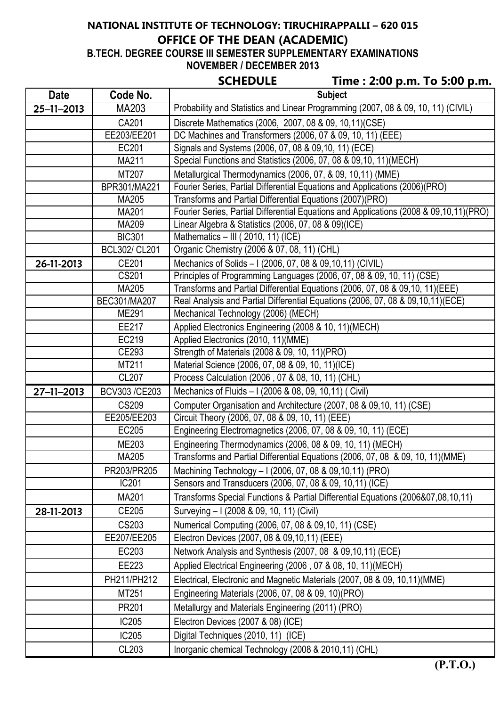# **NATIONAL INSTITUTE OF TECHNOLOGY: TIRUCHIRAPPALLI – 620 015 OFFICE OF THE DEAN (ACADEMIC)**

**B.TECH. DEGREE COURSE III SEMESTER SUPPLEMENTARY EXAMINATIONS NOVEMBER / DECEMBER 2013**

| CHEDULI |  |  |
|---------|--|--|
|         |  |  |

|             |                       | <b>SCHEDULE</b><br>Time: 2:00 p.m. To 5:00 p.m.                                                      |  |
|-------------|-----------------------|------------------------------------------------------------------------------------------------------|--|
| <b>Date</b> | Code No.              | <b>Subject</b>                                                                                       |  |
| 25-11-2013  | MA203                 | Probability and Statistics and Linear Programming (2007, 08 & 09, 10, 11) (CIVIL)                    |  |
|             | CA201                 | Discrete Mathematics (2006, 2007, 08 & 09, 10,11)(CSE)                                               |  |
|             | EE203/EE201           | DC Machines and Transformers (2006, 07 & 09, 10, 11) (EEE)                                           |  |
|             | EC201                 | Signals and Systems (2006, 07, 08 & 09, 10, 11) (ECE)                                                |  |
|             | MA211                 | Special Functions and Statistics (2006, 07, 08 & 09, 10, 11) (MECH)                                  |  |
|             | MT207                 | Metallurgical Thermodynamics (2006, 07, & 09, 10,11) (MME)                                           |  |
|             | BPR301/MA221          | Fourier Series, Partial Differential Equations and Applications (2006)(PRO)                          |  |
|             | MA205                 | Transforms and Partial Differential Equations (2007)(PRO)                                            |  |
|             | MA201                 | Fourier Series, Partial Differential Equations and Applications (2008 & 09,10,11)(PRO)               |  |
|             | MA209                 | Linear Algebra & Statistics (2006, 07, 08 & 09)(ICE)                                                 |  |
|             | <b>BIC301</b>         | Mathematics - III (2010, 11) (ICE)                                                                   |  |
|             | <b>BCL302/ CL201</b>  | Organic Chemistry (2006 & 07, 08, 11) (CHL)                                                          |  |
| 26-11-2013  | CE201                 | Mechanics of Solids - I (2006, 07, 08 & 09, 10, 11) (CIVIL)                                          |  |
|             | CS201                 | Principles of Programming Languages (2006, 07, 08 & 09, 10, 11) (CSE)                                |  |
|             | MA205                 | Transforms and Partial Differential Equations (2006, 07, 08 & 09,10, 11) (EEE)                       |  |
|             | BEC301/MA207<br>ME291 | Real Analysis and Partial Differential Equations (2006, 07, 08 & 09, 10, 11) (ECE)                   |  |
|             |                       | Mechanical Technology (2006) (MECH)                                                                  |  |
|             | EE217                 | Applied Electronics Engineering (2008 & 10, 11)(MECH)                                                |  |
|             | EC219<br>CE293        | Applied Electronics (2010, 11)(MME)                                                                  |  |
|             | MT211                 | Strength of Materials (2008 & 09, 10, 11) (PRO)<br>Material Science (2006, 07, 08 & 09, 10, 11)(ICE) |  |
|             | CL207                 | Process Calculation (2006, 07 & 08, 10, 11) (CHL)                                                    |  |
| 27-11-2013  | BCV303 /CE203         | Mechanics of Fluids - I (2006 & 08, 09, 10,11) ( Civil)                                              |  |
|             | <b>CS209</b>          | Computer Organisation and Architecture (2007, 08 & 09,10, 11) (CSE)                                  |  |
|             | EE205/EE203           | Circuit Theory (2006, 07, 08 & 09, 10, 11) (EEE)                                                     |  |
|             | EC205                 | Engineering Electromagnetics (2006, 07, 08 & 09, 10, 11) (ECE)                                       |  |
|             | ME203                 | Engineering Thermodynamics (2006, 08 & 09, 10, 11) (MECH)                                            |  |
|             | MA205                 | Transforms and Partial Differential Equations (2006, 07, 08 & 09, 10, 11) (MME)                      |  |
|             | PR203/PR205           | Machining Technology - I (2006, 07, 08 & 09, 10, 11) (PRO)                                           |  |
|             | IC201                 | Sensors and Transducers (2006, 07, 08 & 09, 10,11) (ICE)                                             |  |
|             | MA201                 | Transforms Special Functions & Partial Differential Equations (2006&07,08,10,11)                     |  |
| 28-11-2013  | CE205                 | Surveying - I (2008 & 09, 10, 11) (Civil)                                                            |  |
|             | CS203                 | Numerical Computing (2006, 07, 08 & 09,10, 11) (CSE)                                                 |  |
|             | EE207/EE205           | Electron Devices (2007, 08 & 09,10,11) (EEE)                                                         |  |
|             | EC203                 | Network Analysis and Synthesis (2007, 08 & 09,10,11) (ECE)                                           |  |
|             | EE223                 | Applied Electrical Engineering (2006, 07 & 08, 10, 11)(MECH)                                         |  |
|             | PH211/PH212           | Electrical, Electronic and Magnetic Materials (2007, 08 & 09, 10,11)(MME)                            |  |
|             | MT251                 | Engineering Materials (2006, 07, 08 & 09, 10) (PRO)                                                  |  |
|             | PR201                 | Metallurgy and Materials Engineering (2011) (PRO)                                                    |  |
|             | IC205                 | Electron Devices (2007 & 08) (ICE)                                                                   |  |
|             | IC205                 | Digital Techniques (2010, 11) (ICE)                                                                  |  |
|             | CL203                 | Inorganic chemical Technology (2008 & 2010,11) (CHL)                                                 |  |
|             |                       |                                                                                                      |  |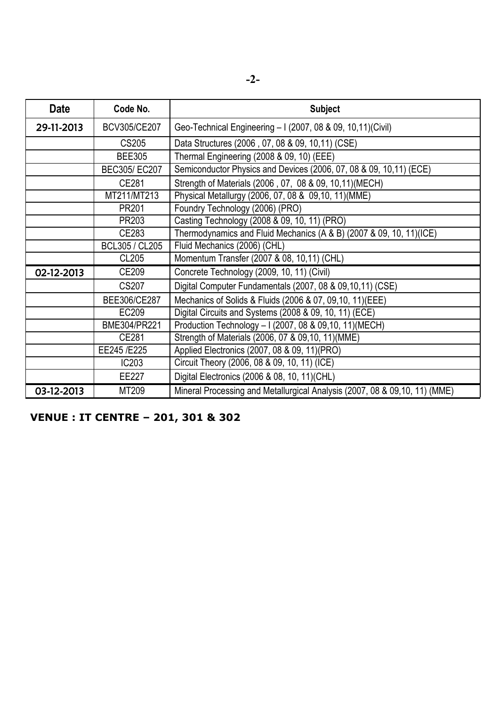| <b>Date</b> | Code No.       | <b>Subject</b>                                                             |
|-------------|----------------|----------------------------------------------------------------------------|
| 29-11-2013  | BCV305/CE207   | Geo-Technical Engineering - I (2007, 08 & 09, 10,11) (Civil)               |
|             | CS205          | Data Structures (2006, 07, 08 & 09, 10, 11) (CSE)                          |
|             | <b>BEE305</b>  | Thermal Engineering (2008 & 09, 10) (EEE)                                  |
|             | BEC305/EC207   | Semiconductor Physics and Devices (2006, 07, 08 & 09, 10,11) (ECE)         |
|             | CE281          | Strength of Materials (2006, 07, 08 & 09, 10,11) (MECH)                    |
|             | MT211/MT213    | Physical Metallurgy (2006, 07, 08 & 09, 10, 11) (MME)                      |
|             | PR201          | Foundry Technology (2006) (PRO)                                            |
|             | PR203          | Casting Technology (2008 & 09, 10, 11) (PRO)                               |
|             | CE283          | Thermodynamics and Fluid Mechanics (A & B) (2007 & 09, 10, 11)(ICE)        |
|             | BCL305 / CL205 | Fluid Mechanics (2006) (CHL)                                               |
|             | <b>CL205</b>   | Momentum Transfer (2007 & 08, 10,11) (CHL)                                 |
| 02-12-2013  | CE209          | Concrete Technology (2009, 10, 11) (Civil)                                 |
|             | CS207          | Digital Computer Fundamentals (2007, 08 & 09, 10, 11) (CSE)                |
|             | BEE306/CE287   | Mechanics of Solids & Fluids (2006 & 07, 09,10, 11) (EEE)                  |
|             | EC209          | Digital Circuits and Systems (2008 & 09, 10, 11) (ECE)                     |
|             | BME304/PR221   | Production Technology - I (2007, 08 & 09,10, 11) (MECH)                    |
|             | CE281          | Strength of Materials (2006, 07 & 09,10, 11) (MME)                         |
|             | EE245 /E225    | Applied Electronics (2007, 08 & 09, 11)(PRO)                               |
|             | IC203          | Circuit Theory (2006, 08 & 09, 10, 11) (ICE)                               |
|             | EE227          | Digital Electronics (2006 & 08, 10, 11) (CHL)                              |
| 03-12-2013  | MT209          | Mineral Processing and Metallurgical Analysis (2007, 08 & 09,10, 11) (MME) |

**VENUE : IT CENTRE – 201, 301 & 302**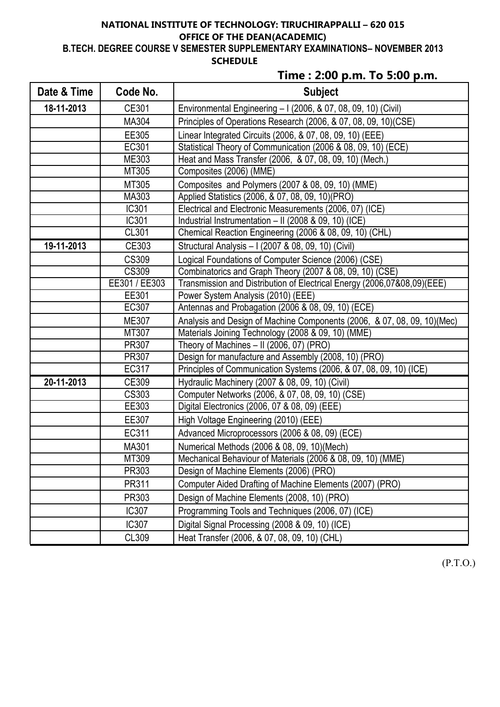### **NATIONAL INSTITUTE OF TECHNOLOGY: TIRUCHIRAPPALLI – 620 015 OFFICE OF THE DEAN(ACADEMIC) B.TECH. DEGREE COURSE V SEMESTER SUPPLEMENTARY EXAMINATIONS– NOVEMBER 2013 SCHEDULE**

# **Time : 2:00 p.m. To 5:00 p.m.**

| Date & Time | Code No.      | <b>Subject</b>                                                           |
|-------------|---------------|--------------------------------------------------------------------------|
| 18-11-2013  | CE301         | Environmental Engineering - I (2006, & 07, 08, 09, 10) (Civil)           |
|             | MA304         | Principles of Operations Research (2006, & 07, 08, 09, 10) (CSE)         |
|             | EE305         | Linear Integrated Circuits (2006, & 07, 08, 09, 10) (EEE)                |
|             | EC301         | Statistical Theory of Communication (2006 & 08, 09, 10) (ECE)            |
|             | ME303         | Heat and Mass Transfer (2006, & 07, 08, 09, 10) (Mech.)                  |
|             | MT305         | Composites (2006) (MME)                                                  |
|             | MT305         | Composites and Polymers (2007 & 08, 09, 10) (MME)                        |
|             | MA303         | Applied Statistics (2006, & 07, 08, 09, 10)(PRO)                         |
|             | IC301         | Electrical and Electronic Measurements (2006, 07) (ICE)                  |
|             | IC301         | Industrial Instrumentation - II (2008 & 09, 10) (ICE)                    |
|             | CL301         | Chemical Reaction Engineering (2006 & 08, 09, 10) (CHL)                  |
| 19-11-2013  | CE303         | Structural Analysis - I (2007 & 08, 09, 10) (Civil)                      |
|             | <b>CS309</b>  | Logical Foundations of Computer Science (2006) (CSE)                     |
|             | CS309         | Combinatorics and Graph Theory (2007 & 08, 09, 10) (CSE)                 |
|             | EE301 / EE303 | Transmission and Distribution of Electrical Energy (2006,07&08,09)(EEE)  |
|             | EE301         | Power System Analysis (2010) (EEE)                                       |
|             | EC307         | Antennas and Probagation (2006 & 08, 09, 10) (ECE)                       |
|             | ME307         | Analysis and Design of Machine Components (2006, & 07, 08, 09, 10) (Mec) |
|             | MT307         | Materials Joining Technology (2008 & 09, 10) (MME)                       |
|             | PR307         | Theory of Machines - II (2006, 07) (PRO)                                 |
|             | PR307         | Design for manufacture and Assembly (2008, 10) (PRO)                     |
|             | EC317         | Principles of Communication Systems (2006, & 07, 08, 09, 10) (ICE)       |
| 20-11-2013  | CE309         | Hydraulic Machinery (2007 & 08, 09, 10) (Civil)                          |
|             | CS303         | Computer Networks (2006, & 07, 08, 09, 10) (CSE)                         |
|             | EE303         | Digital Electronics (2006, 07 & 08, 09) (EEE)                            |
|             | EE307         | High Voltage Engineering (2010) (EEE)                                    |
|             | EC311         | Advanced Microprocessors (2006 & 08, 09) (ECE)                           |
|             | MA301         | Numerical Methods (2006 & 08, 09, 10)(Mech)                              |
|             | MT309         | Mechanical Behaviour of Materials (2006 & 08, 09, 10) (MME)              |
|             | PR303         | Design of Machine Elements (2006) (PRO)                                  |
|             | PR311         | Computer Aided Drafting of Machine Elements (2007) (PRO)                 |
|             | PR303         | Design of Machine Elements (2008, 10) (PRO)                              |
|             | IC307         | Programming Tools and Techniques (2006, 07) (ICE)                        |
|             | IC307         | Digital Signal Processing (2008 & 09, 10) (ICE)                          |
|             | CL309         | Heat Transfer (2006, & 07, 08, 09, 10) (CHL)                             |

(P.T.O.)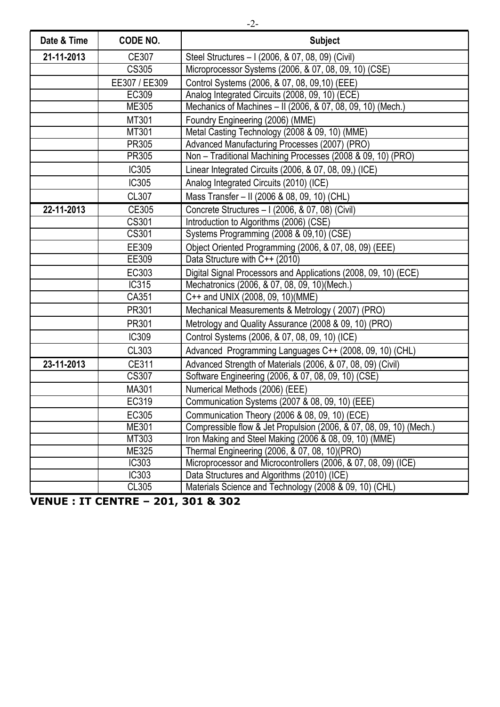| Date & Time | CODE NO.      | <b>Subject</b>                                                      |
|-------------|---------------|---------------------------------------------------------------------|
| 21-11-2013  | CE307         | Steel Structures - I (2006, & 07, 08, 09) (Civil)                   |
|             | <b>CS305</b>  | Microprocessor Systems (2006, & 07, 08, 09, 10) (CSE)               |
|             | EE307 / EE309 | Control Systems (2006, & 07, 08, 09, 10) (EEE)                      |
|             | EC309         | Analog Integrated Circuits (2008, 09, 10) (ECE)                     |
|             | ME305         | Mechanics of Machines - II (2006, & 07, 08, 09, 10) (Mech.)         |
|             | MT301         | Foundry Engineering (2006) (MME)                                    |
|             | MT301         | Metal Casting Technology (2008 & 09, 10) (MME)                      |
|             | PR305         | Advanced Manufacturing Processes (2007) (PRO)                       |
|             | PR305         | Non - Traditional Machining Processes (2008 & 09, 10) (PRO)         |
|             | IC305         | Linear Integrated Circuits (2006, & 07, 08, 09,) (ICE)              |
|             | IC305         | Analog Integrated Circuits (2010) (ICE)                             |
|             | CL307         | Mass Transfer - II (2006 & 08, 09, 10) (CHL)                        |
| 22-11-2013  | CE305         | Concrete Structures - I (2006, & 07, 08) (Civil)                    |
|             | CS301         | Introduction to Algorithms (2006) (CSE)                             |
|             | CS301         | Systems Programming (2008 & 09,10) (CSE)                            |
|             | EE309         | Object Oriented Programming (2006, & 07, 08, 09) (EEE)              |
|             | EE309         | Data Structure with C++ (2010)                                      |
|             | EC303         | Digital Signal Processors and Applications (2008, 09, 10) (ECE)     |
|             | IC315         | Mechatronics (2006, & 07, 08, 09, 10) (Mech.)                       |
|             | CA351         | C++ and UNIX (2008, 09, 10)(MME)                                    |
|             | PR301         | Mechanical Measurements & Metrology (2007) (PRO)                    |
|             | PR301         | Metrology and Quality Assurance (2008 & 09, 10) (PRO)               |
|             | IC309         | Control Systems (2006, & 07, 08, 09, 10) (ICE)                      |
|             | CL303         | Advanced Programming Languages C++ (2008, 09, 10) (CHL)             |
| 23-11-2013  | CE311         | Advanced Strength of Materials (2006, & 07, 08, 09) (Civil)         |
|             | <b>CS307</b>  | Software Engineering (2006, & 07, 08, 09, 10) (CSE)                 |
|             | MA301         | Numerical Methods (2006) (EEE)                                      |
|             | EC319         | Communication Systems (2007 & 08, 09, 10) (EEE)                     |
|             | EC305         | Communication Theory (2006 & 08, 09, 10) (ECE)                      |
|             | ME301         | Compressible flow & Jet Propulsion (2006, & 07, 08, 09, 10) (Mech.) |
|             | MT303         | Iron Making and Steel Making (2006 & 08, 09, 10) (MME)              |
|             | ME325         | Thermal Engineering (2006, & 07, 08, 10)(PRO)                       |
|             | <b>IC303</b>  | Microprocessor and Microcontrollers (2006, & 07, 08, 09) (ICE)      |
|             | <b>IC303</b>  | Data Structures and Algorithms (2010) (ICE)                         |
|             | CL305         | Materials Science and Technology (2008 & 09, 10) (CHL)              |

**VENUE : IT CENTRE – 201, 301 & 302**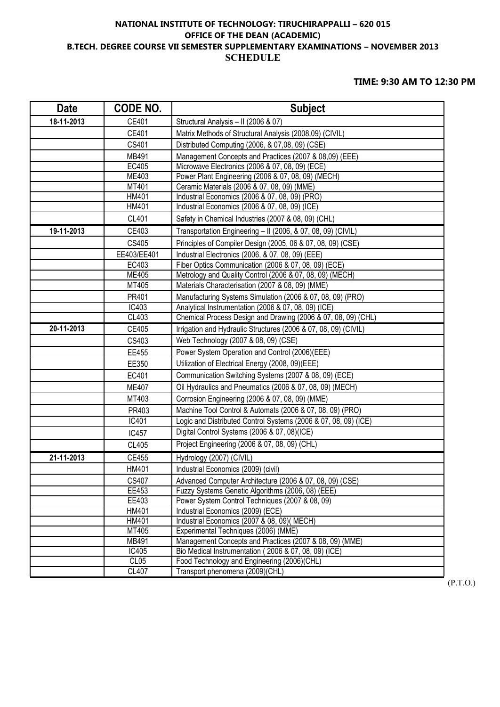### **NATIONAL INSTITUTE OF TECHNOLOGY: TIRUCHIRAPPALLI – 620 015 OFFICE OF THE DEAN (ACADEMIC) B.TECH. DEGREE COURSE VII SEMESTER SUPPLEMENTARY EXAMINATIONS – NOVEMBER 2013 SCHEDULE**

#### **TIME: 9:30 AM TO 12:30 PM**

| <b>Date</b> | CODE NO.              | <b>Subject</b>                                                                                                   |
|-------------|-----------------------|------------------------------------------------------------------------------------------------------------------|
| 18-11-2013  | CE401                 | Structural Analysis - II (2006 & 07)                                                                             |
|             | CE401                 | Matrix Methods of Structural Analysis (2008,09) (CIVIL)                                                          |
|             | CS401                 | Distributed Computing (2006, & 07,08, 09) (CSE)                                                                  |
|             | MB491                 | Management Concepts and Practices (2007 & 08,09) (EEE)                                                           |
|             | EC405                 | Microwave Electronics (2006 & 07, 08, 09) (ECE)                                                                  |
|             | ME403                 | Power Plant Engineering (2006 & 07, 08, 09) (MECH)                                                               |
|             | MT401                 | Ceramic Materials (2006 & 07, 08, 09) (MME)                                                                      |
|             | HM401                 | Industrial Economics (2006 & 07, 08, 09) (PRO)                                                                   |
|             | HM401                 | Industrial Economics (2006 & 07, 08, 09) (ICE)                                                                   |
|             | <b>CL401</b>          | Safety in Chemical Industries (2007 & 08, 09) (CHL)                                                              |
| 19-11-2013  | CE403                 | Transportation Engineering - II (2006, & 07, 08, 09) (CIVIL)                                                     |
|             | CS405                 | Principles of Compiler Design (2005, 06 & 07, 08, 09) (CSE)                                                      |
|             | EE403/EE401           | Industrial Electronics (2006, & 07, 08, 09) (EEE)                                                                |
|             | EC403                 | Fiber Optics Communication (2006 & 07, 08, 09) (ECE)                                                             |
|             | ME405                 | Metrology and Quality Control (2006 & 07, 08, 09) (MECH)                                                         |
|             | MT405                 | Materials Characterisation (2007 & 08, 09) (MME)                                                                 |
|             | PR401                 | Manufacturing Systems Simulation (2006 & 07, 08, 09) (PRO)                                                       |
|             | IC403                 | Analytical Instrumentation (2006 & 07, 08, 09) (ICE)                                                             |
|             | CL403                 | Chemical Process Design and Drawing (2006 & 07, 08, 09) (CHL)                                                    |
| 20-11-2013  | CE405                 | Irrigation and Hydraulic Structures (2006 & 07, 08, 09) (CIVIL)                                                  |
|             | CS403                 | Web Technology (2007 & 08, 09) (CSE)                                                                             |
|             | EE455                 | Power System Operation and Control (2006)(EEE)                                                                   |
|             | EE350                 | Utilization of Electrical Energy (2008, 09)(EEE)                                                                 |
|             | EC401                 | Communication Switching Systems (2007 & 08, 09) (ECE)                                                            |
|             | <b>ME407</b>          | Oil Hydraulics and Pneumatics (2006 & 07, 08, 09) (MECH)                                                         |
|             | MT403                 | Corrosion Engineering (2006 & 07, 08, 09) (MME)                                                                  |
|             | PR403                 | Machine Tool Control & Automats (2006 & 07, 08, 09) (PRO)                                                        |
|             | IC401                 | Logic and Distributed Control Systems (2006 & 07, 08, 09) (ICE)                                                  |
|             | <b>IC457</b>          | Digital Control Systems (2006 & 07, 08)(ICE)                                                                     |
|             | <b>CL405</b>          | Project Engineering (2006 & 07, 08, 09) (CHL)                                                                    |
| 21-11-2013  | CE455                 | Hydrology (2007) (CIVIL)                                                                                         |
|             | HM401                 | Industrial Economics (2009) (civil)                                                                              |
|             | CS407                 | Advanced Computer Architecture (2006 & 07, 08, 09) (CSE)                                                         |
|             | EE453                 | Fuzzy Systems Genetic Algorithms (2006, 08) (EEE)                                                                |
|             | EE403                 | Power System Control Techniques (2007 & 08, 09)                                                                  |
|             | HM401                 | Industrial Economics (2009) (ECE)                                                                                |
|             | HM401                 | Industrial Economics (2007 & 08, 09)( MECH)                                                                      |
|             | MT405<br><b>MB491</b> | Experimental Techniques (2006) (MME)                                                                             |
|             | IC405                 | Management Concepts and Practices (2007 & 08, 09) (MME)<br>Bio Medical Instrumentation (2006 & 07, 08, 09) (ICE) |
|             | CL05                  | Food Technology and Engineering (2006)(CHL)                                                                      |
|             | CL407                 | Transport phenomena (2009)(CHL)                                                                                  |
|             |                       |                                                                                                                  |

(P.T.O.)